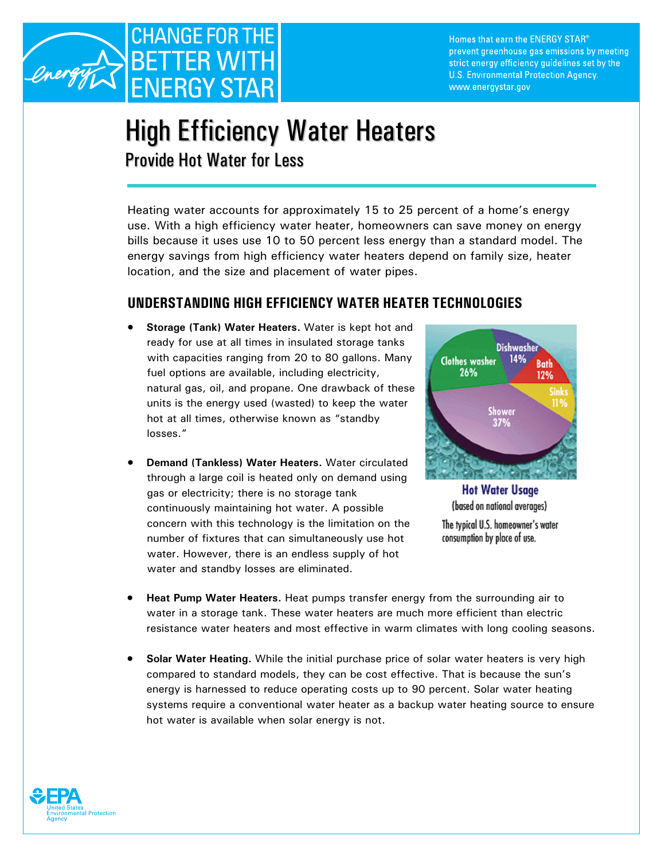

Homes that earn the ENERGY STAR® prevent greenhouse gas emissions by meeting strict energy efficiency guidelines set by the U.S. Environmental Protection Agency. www.energystar.gov

## High Efficiency Water Heaters Provide Hot Water for Less

Heating water accounts for approximately 15 to 25 percent of a home's energy use. With a high efficiency water heater, homeowners can save money on energy bills because it uses use 10 to 50 percent less energy than a standard model. The energy savings from high efficiency water heaters depend on family size, heater location, and the size and placement of water pipes.

## **UNDERSTANDING HIGH EFFICIENCY WATER HEATER TECHNOLOGIES**

- **Storage (Tank) Water Heaters.** Water is kept hot and ready for use at all times in insulated storage tanks with capacities ranging from 20 to 80 gallons. Many fuel options are available, including electricity, natural gas, oil, and propane. One drawback of these units is the energy used (wasted) to keep the water hot at all times, otherwise known as "standby losses."
- **Demand (Tankless) Water Heaters.** Water circulated through a large coil is heated only on demand using gas or electricity; there is no storage tank continuously maintaining hot water. A possible concern with this technology is the limitation on the number of fixtures that can simultaneously use hot water. However, there is an endless supply of hot water and standby losses are eliminated.



**Hot Water Usage** (based on national averages) The typical U.S. homeowner's water consumption by place of use.

- **Heat Pump Water Heaters.** Heat pumps transfer energy from the surrounding air to water in a storage tank. These water heaters are much more efficient than electric resistance water heaters and most effective in warm climates with long cooling seasons.
- **Solar Water Heating.** While the initial purchase price of solar water heaters is very high compared to standard models, they can be cost effective. That is because the sun's energy is harnessed to reduce operating costs up to 90 percent. Solar water heating systems require a conventional water heater as a backup water heating source to ensure hot water is available when solar energy is not.